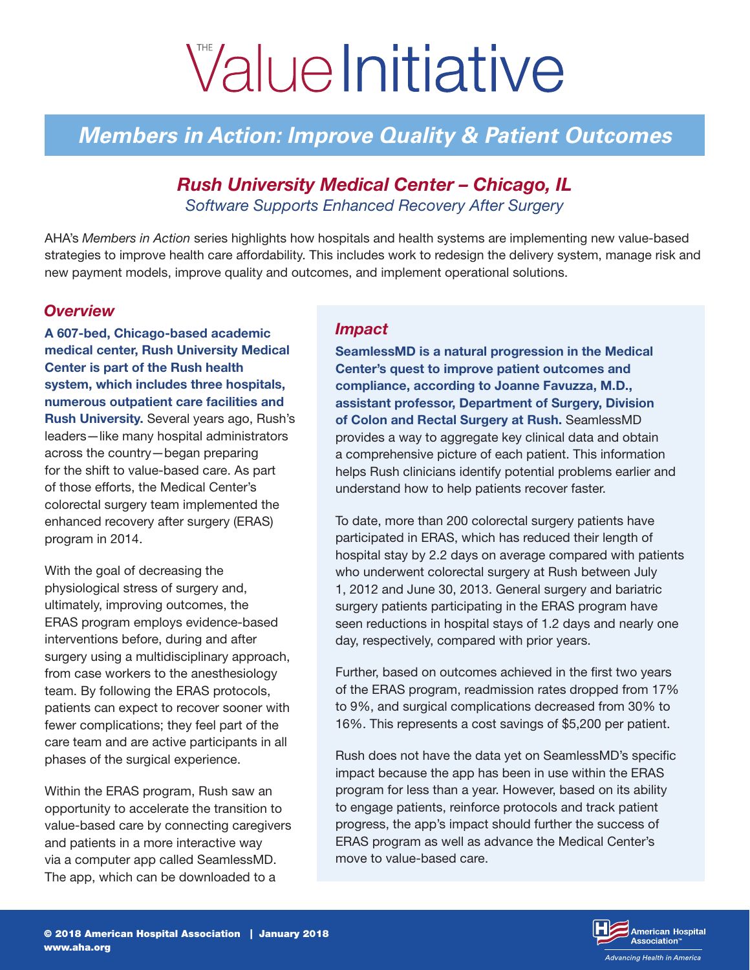# ValueInitiative

# *Members in Action: Improve Quality & Patient Outcomes*

# *Rush University Medical Center – Chicago, IL Software Supports Enhanced Recovery After Surgery*

AHA's *Members in Action* series highlights how hospitals and health systems are implementing new value-based strategies to improve health care affordability. This includes work to redesign the delivery system, manage risk and new payment models, improve quality and outcomes, and implement operational solutions.

#### *Overview*

A 607-bed, Chicago-based academic medical center, Rush University Medical Center is part of the Rush health system, which includes three hospitals, numerous outpatient care facilities and **Rush University.** Several years ago, Rush's leaders—like many hospital administrators across the country—began preparing for the shift to value-based care. As part of those efforts, the Medical Center's colorectal surgery team implemented the enhanced recovery after surgery (ERAS) program in 2014.

With the goal of decreasing the physiological stress of surgery and, ultimately, improving outcomes, the ERAS program employs evidence-based interventions before, during and after surgery using a multidisciplinary approach, from case workers to the anesthesiology team. By following the ERAS protocols, patients can expect to recover sooner with fewer complications; they feel part of the care team and are active participants in all phases of the surgical experience.

Within the ERAS program, Rush saw an opportunity to accelerate the transition to value-based care by connecting caregivers and patients in a more interactive way via a computer app called SeamlessMD. The app, which can be downloaded to a

#### *Impact*

SeamlessMD is a natural progression in the Medical Center's quest to improve patient outcomes and compliance, according to Joanne Favuzza, M.D., assistant professor, Department of Surgery, Division of Colon and Rectal Surgery at Rush. SeamlessMD provides a way to aggregate key clinical data and obtain a comprehensive picture of each patient. This information helps Rush clinicians identify potential problems earlier and understand how to help patients recover faster.

To date, more than 200 colorectal surgery patients have participated in ERAS, which has reduced their length of hospital stay by 2.2 days on average compared with patients who underwent colorectal surgery at Rush between July 1, 2012 and June 30, 2013. General surgery and bariatric surgery patients participating in the ERAS program have seen reductions in hospital stays of 1.2 days and nearly one day, respectively, compared with prior years.

Further, based on outcomes achieved in the first two years of the ERAS program, readmission rates dropped from 17% to 9%, and surgical complications decreased from 30% to 16%. This represents a cost savings of \$5,200 per patient.

Rush does not have the data yet on SeamlessMD's specific impact because the app has been in use within the ERAS program for less than a year. However, based on its ability to engage patients, reinforce protocols and track patient progress, the app's impact should further the success of ERAS program as well as advance the Medical Center's move to value-based care.